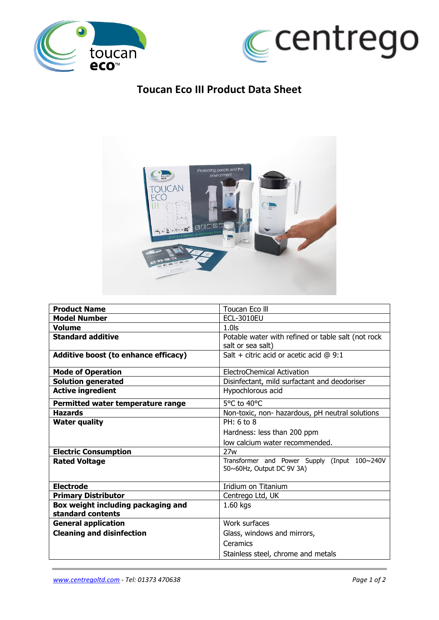



## **Toucan Eco III Product Data Sheet**



| <b>Product Name</b>                  | Toucan Eco III                                                               |  |  |
|--------------------------------------|------------------------------------------------------------------------------|--|--|
| <b>Model Number</b>                  | <b>ECL-3010EU</b>                                                            |  |  |
| <b>Volume</b>                        | $1.0$ s                                                                      |  |  |
| <b>Standard additive</b>             | Potable water with refined or table salt (not rock<br>salt or sea salt)      |  |  |
| Additive boost (to enhance efficacy) | Salt + citric acid or acetic acid $@9:1$                                     |  |  |
| <b>Mode of Operation</b>             | <b>ElectroChemical Activation</b>                                            |  |  |
| <b>Solution generated</b>            | Disinfectant, mild surfactant and deodoriser                                 |  |  |
| <b>Active ingredient</b>             | Hypochlorous acid                                                            |  |  |
| Permitted water temperature range    | 5°C to 40°C                                                                  |  |  |
| <b>Hazards</b>                       | Non-toxic, non- hazardous, pH neutral solutions                              |  |  |
| <b>Water quality</b>                 | $PH: 6$ to $8$                                                               |  |  |
|                                      | Hardness: less than 200 ppm                                                  |  |  |
|                                      | low calcium water recommended.                                               |  |  |
| <b>Electric Consumption</b>          | 27w                                                                          |  |  |
| <b>Rated Voltage</b>                 | Transformer and Power Supply (Input 100~240V<br>$50~60$ Hz, Output DC 9V 3A) |  |  |
| <b>Electrode</b>                     | Iridium on Titanium                                                          |  |  |
| <b>Primary Distributor</b>           | Centrego Ltd, UK                                                             |  |  |
| Box weight including packaging and   | 1.60 kgs                                                                     |  |  |
| standard contents                    |                                                                              |  |  |
| <b>General application</b>           | Work surfaces                                                                |  |  |
| <b>Cleaning and disinfection</b>     | Glass, windows and mirrors,                                                  |  |  |
|                                      | Ceramics                                                                     |  |  |
|                                      | Stainless steel, chrome and metals                                           |  |  |